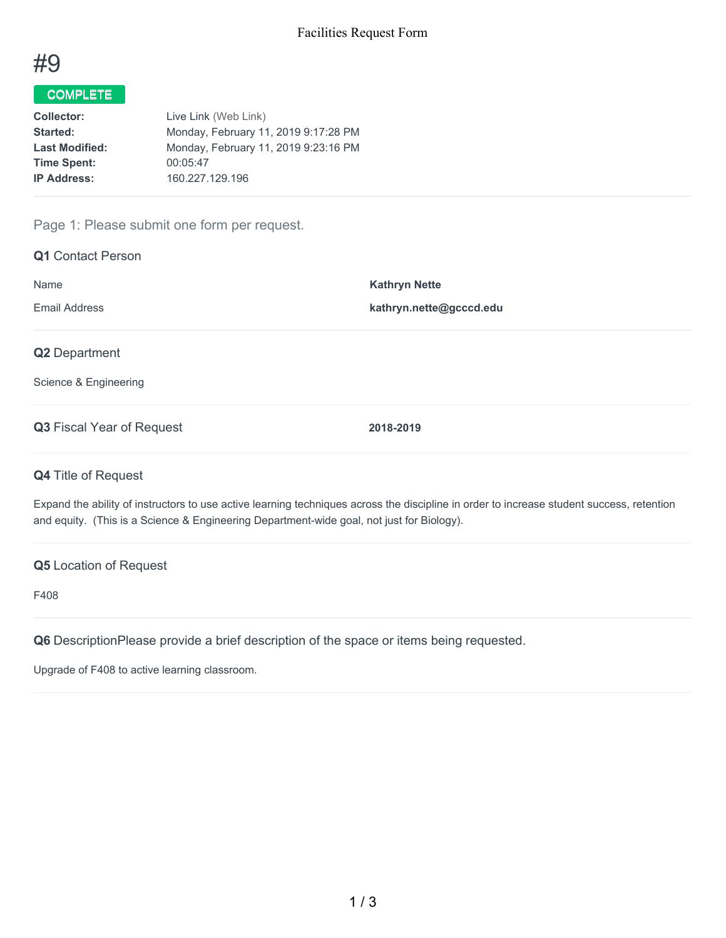

# COMPLETE

| Live Link (Web Link)                 |
|--------------------------------------|
| Monday, February 11, 2019 9:17:28 PM |
| Monday, February 11, 2019 9:23:16 PM |
| 00:05:47                             |
| 160.227.129.196                      |
|                                      |

## Page 1: Please submit one form per request.

| <b>Q1</b> Contact Person               |                         |
|----------------------------------------|-------------------------|
| Name                                   | <b>Kathryn Nette</b>    |
| <b>Email Address</b>                   | kathryn.nette@gcccd.edu |
| Q2 Department<br>Science & Engineering |                         |
| Q3 Fiscal Year of Request              | 2018-2019               |
| <b>Q4 Title of Request</b>             |                         |

Expand the ability of instructors to use active learning techniques across the discipline in order to increase student success, retention and equity. (This is a Science & Engineering Department-wide goal, not just for Biology).

#### **Q5** Location of Request

F408

**Q6** DescriptionPlease provide a brief description of the space or items being requested.

Upgrade of F408 to active learning classroom.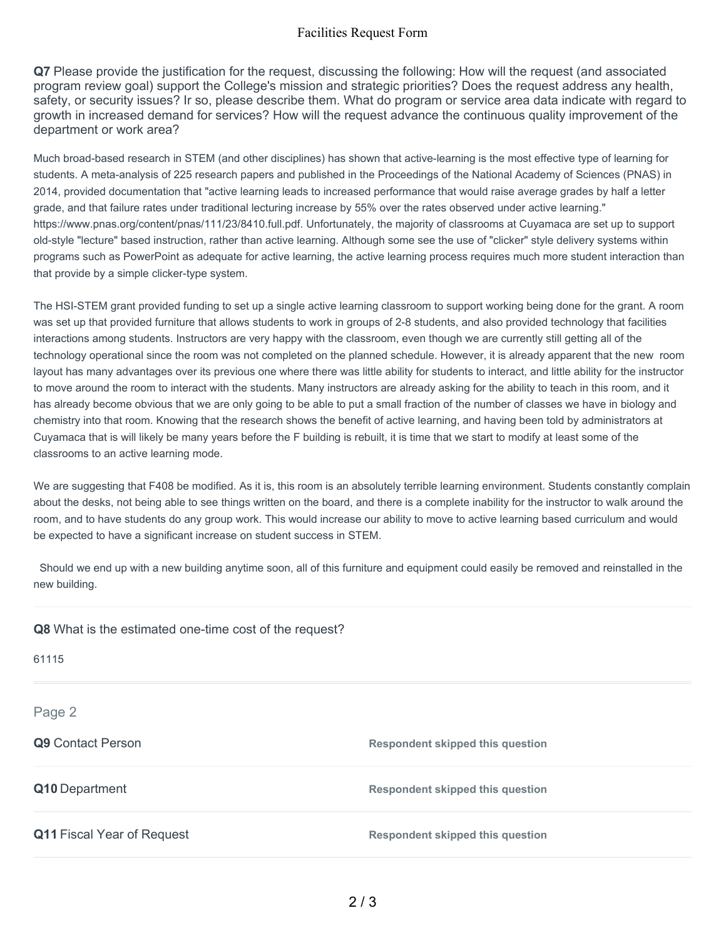### Facilities Request Form

**Q7** Please provide the justification for the request, discussing the following: How will the request (and associated program review goal) support the College's mission and strategic priorities? Does the request address any health, safety, or security issues? Ir so, please describe them. What do program or service area data indicate with regard to growth in increased demand for services? How will the request advance the continuous quality improvement of the department or work area?

Much broad-based research in STEM (and other disciplines) has shown that active-learning is the most effective type of learning for students. A meta-analysis of 225 research papers and published in the Proceedings of the National Academy of Sciences (PNAS) in 2014, provided documentation that "active learning leads to increased performance that would raise average grades by half a letter grade, and that failure rates under traditional lecturing increase by 55% over the rates observed under active learning." https://www.pnas.org/content/pnas/111/23/8410.full.pdf. Unfortunately, the majority of classrooms at Cuyamaca are set up to support old-style "lecture" based instruction, rather than active learning. Although some see the use of "clicker" style delivery systems within programs such as PowerPoint as adequate for active learning, the active learning process requires much more student interaction than that provide by a simple clicker-type system.

The HSI-STEM grant provided funding to set up a single active learning classroom to support working being done for the grant. A room was set up that provided furniture that allows students to work in groups of 2-8 students, and also provided technology that facilities interactions among students. Instructors are very happy with the classroom, even though we are currently still getting all of the technology operational since the room was not completed on the planned schedule. However, it is already apparent that the new room layout has many advantages over its previous one where there was little ability for students to interact, and little ability for the instructor to move around the room to interact with the students. Many instructors are already asking for the ability to teach in this room, and it has already become obvious that we are only going to be able to put a small fraction of the number of classes we have in biology and chemistry into that room. Knowing that the research shows the benefit of active learning, and having been told by administrators at Cuyamaca that is will likely be many years before the F building is rebuilt, it is time that we start to modify at least some of the classrooms to an active learning mode.

We are suggesting that F408 be modified. As it is, this room is an absolutely terrible learning environment. Students constantly complain about the desks, not being able to see things written on the board, and there is a complete inability for the instructor to walk around the room, and to have students do any group work. This would increase our ability to move to active learning based curriculum and would be expected to have a significant increase on student success in STEM.

Should we end up with a new building anytime soon, all of this furniture and equipment could easily be removed and reinstalled in the new building.

**Q8** What is the estimated one-time cost of the request?

| 61115                             |                                         |
|-----------------------------------|-----------------------------------------|
| Page 2                            |                                         |
| Q9 Contact Person                 | <b>Respondent skipped this question</b> |
| Q10 Department                    | <b>Respondent skipped this question</b> |
| <b>Q11 Fiscal Year of Request</b> | <b>Respondent skipped this question</b> |